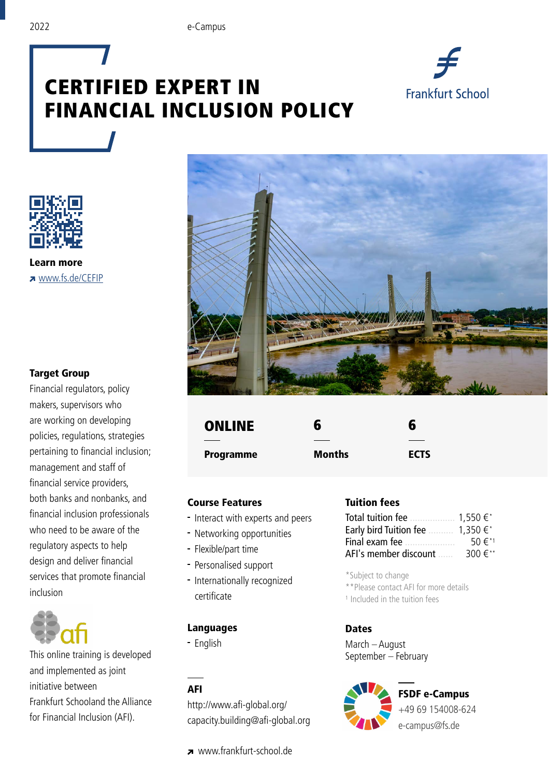

# CERTIFIED EXPERT IN FINANCIAL INCLUSION POLICY



Learn more **z** www.fs.de/CEFIP

#### Target Group

Financial regulators, policy makers, supervisors who are working on developing policies, regulations, strategies pertaining to financial inclusion; management and staff of financial service providers, both banks and nonbanks, and financial inclusion professionals who need to be aware of the regulatory aspects to help design and deliver financial services that promote financial inclusion



This online training is developed and implemented as joint initiative between Frankfurt Schooland the Alliance for Financial Inclusion ([AFI](http://www.afi-global.org/)).



| <b>ONLINE</b> | 6      | 6           |
|---------------|--------|-------------|
|               |        |             |
| Programme     | Months | <b>ECTS</b> |

#### Course Features

- Interact with experts and peers
- Networking opportunities
- Flexible/part time
- Personalised support
- Internationally recognized certificate

# Languages

English

#### AFI

http://www.afi-global.org/ capacity.building@afi-global.org

www.frankfurt-school.de

### Tuition fees

| Total tuition fee      | 1.550 €*                 |
|------------------------|--------------------------|
| Early bird Tuition fee | $1.350 \in$ <sup>*</sup> |
| Final exam fee         | 50€*1                    |
| AFI's member discount  | 300€**                   |

\*Subject to change

\*\*Please contact AFI for more details

1 Included in the tuition fees

#### **Dates**

March – August September – February